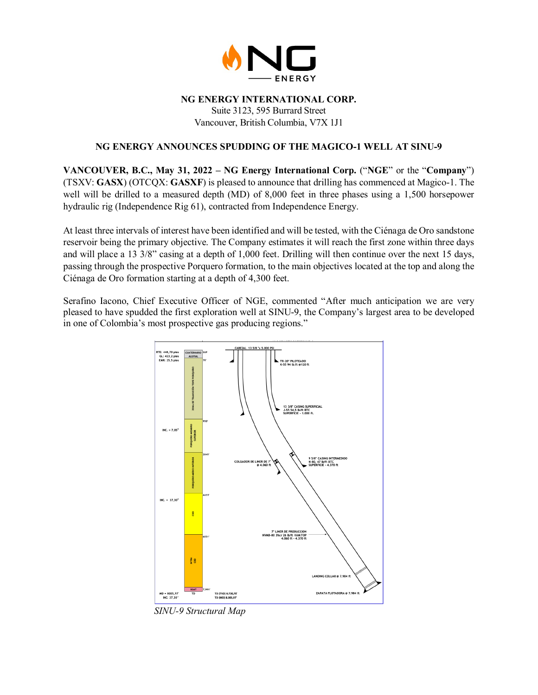

## **NG ENERGY INTERNATIONAL CORP.**

Suite 3123, 595 Burrard Street Vancouver, British Columbia, V7X 1J1

# **NG ENERGY ANNOUNCES SPUDDING OF THE MAGICO-1 WELL AT SINU-9**

**VANCOUVER, B.C., May 31, 2022 – NG Energy International Corp.** ("**NGE**" or the "**Company**") (TSXV: **GASX**) (OTCQX: **GASXF**) is pleased to announce that drilling has commenced at Magico-1. The well will be drilled to a measured depth (MD) of 8,000 feet in three phases using a 1,500 horsepower hydraulic rig (Independence Rig 61), contracted from Independence Energy.

At least three intervals of interest have been identified and will be tested, with the Ciénaga de Oro sandstone reservoir being the primary objective. The Company estimates it will reach the first zone within three days and will place a 13 3/8" casing at a depth of 1,000 feet. Drilling will then continue over the next 15 days, passing through the prospective Porquero formation, to the main objectives located at the top and along the Ciénaga de Oro formation starting at a depth of 4,300 feet.

Serafino Iacono, Chief Executive Officer of NGE, commented "After much anticipation we are very pleased to have spudded the first exploration well at SINU-9, the Company's largest area to be developed in one of Colombia's most prospective gas producing regions."



*SINU-9 Structural Map*